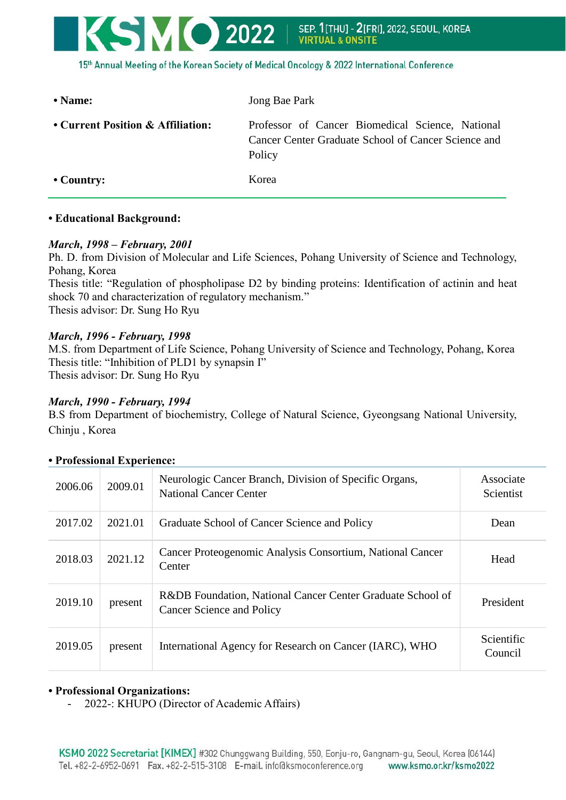

15th Annual Meeting of the Korean Society of Medical Oncology & 2022 International Conference

| $\bullet$ Name:                   | Jong Bae Park                                                                                                     |  |
|-----------------------------------|-------------------------------------------------------------------------------------------------------------------|--|
| • Current Position & Affiliation: | Professor of Cancer Biomedical Science, National<br>Cancer Center Graduate School of Cancer Science and<br>Policy |  |
| $\cdot$ Country:                  | Korea                                                                                                             |  |

### **• Educational Background:**

## *March, 1998 – February, 2001*

Ph. D. from Division of Molecular and Life Sciences, Pohang University of Science and Technology, Pohang, Korea Thesis title: "Regulation of phospholipase D2 by binding proteins: Identification of actinin and heat

shock 70 and characterization of regulatory mechanism." Thesis advisor: Dr. Sung Ho Ryu

## *March, 1996 - February, 1998*

M.S. from Department of Life Science, Pohang University of Science and Technology, Pohang, Korea Thesis title: "Inhibition of PLD1 by synapsin I" Thesis advisor: Dr. Sung Ho Ryu

## *March, 1990 - February, 1994*

B.S from Department of biochemistry, College of Natural Science, Gyeongsang National University, Chinju , Korea

| 2006.06 | 2009.01 | Neurologic Cancer Branch, Division of Specific Organs,<br><b>National Cancer Center</b> | Associate<br>Scientist |
|---------|---------|-----------------------------------------------------------------------------------------|------------------------|
| 2017.02 | 2021.01 | Graduate School of Cancer Science and Policy                                            | Dean                   |
| 2018.03 | 2021.12 | Cancer Proteogenomic Analysis Consortium, National Cancer<br>Center                     | Head                   |
| 2019.10 | present | R&DB Foundation, National Cancer Center Graduate School of<br>Cancer Science and Policy | President              |
| 2019.05 | present | International Agency for Research on Cancer (IARC), WHO                                 | Scientific<br>Council  |

# **• Professional Experience:**

### **• Professional Organizations:**

- 2022-: KHUPO (Director of Academic Affairs)